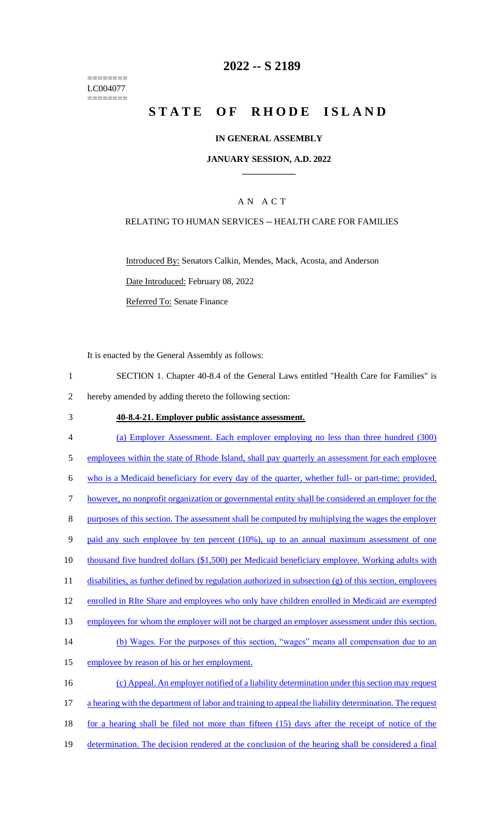======== LC004077 ========

### **2022 -- S 2189**

# **STATE OF RHODE ISLAND**

#### **IN GENERAL ASSEMBLY**

#### **JANUARY SESSION, A.D. 2022 \_\_\_\_\_\_\_\_\_\_\_\_**

### A N A C T

#### RELATING TO HUMAN SERVICES -- HEALTH CARE FOR FAMILIES

Introduced By: Senators Calkin, Mendes, Mack, Acosta, and Anderson Date Introduced: February 08, 2022 Referred To: Senate Finance

It is enacted by the General Assembly as follows:

- 1 SECTION 1. Chapter 40-8.4 of the General Laws entitled "Health Care for Families" is 2 hereby amended by adding thereto the following section:
- 3 **40-8.4-21. Employer public assistance assessment.**
- 4 (a) Employer Assessment. Each employer employing no less than three hundred (300) 5 employees within the state of Rhode Island, shall pay quarterly an assessment for each employee 6 who is a Medicaid beneficiary for every day of the quarter, whether full- or part-time; provided, 7 however, no nonprofit organization or governmental entity shall be considered an employer for the 8 purposes of this section. The assessment shall be computed by multiplying the wages the employer 9 paid any such employee by ten percent (10%), up to an annual maximum assessment of one 10 thousand five hundred dollars (\$1,500) per Medicaid beneficiary employee. Working adults with 11 disabilities, as further defined by regulation authorized in subsection (g) of this section, employees 12 enrolled in RIte Share and employees who only have children enrolled in Medicaid are exempted 13 employees for whom the employer will not be charged an employer assessment under this section. 14 (b) Wages. For the purposes of this section, "wages" means all compensation due to an 15 employee by reason of his or her employment. 16 (c) Appeal. An employer notified of a liability determination under this section may request 17 a hearing with the department of labor and training to appeal the liability determination. The request 18 for a hearing shall be filed not more than fifteen (15) days after the receipt of notice of the 19 determination. The decision rendered at the conclusion of the hearing shall be considered a final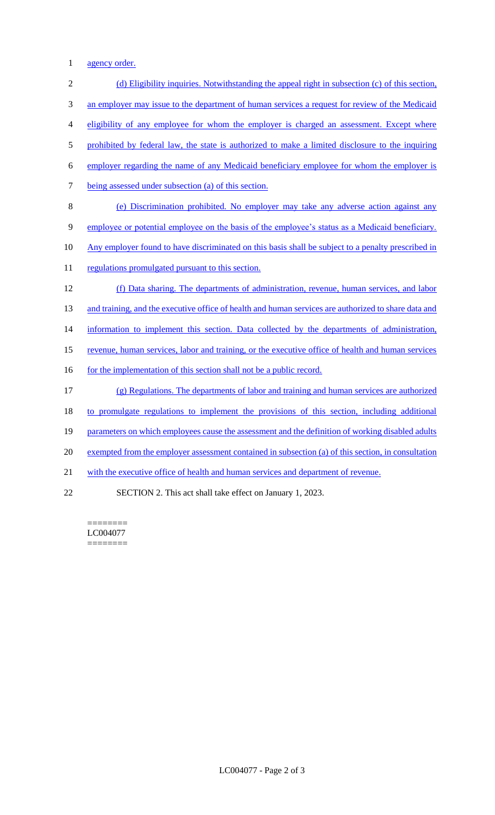1 agency order.

 (d) Eligibility inquiries. Notwithstanding the appeal right in subsection (c) of this section, 3 an employer may issue to the department of human services a request for review of the Medicaid eligibility of any employee for whom the employer is charged an assessment. Except where 5 prohibited by federal law, the state is authorized to make a limited disclosure to the inquiring employer regarding the name of any Medicaid beneficiary employee for whom the employer is being assessed under subsection (a) of this section. (e) Discrimination prohibited. No employer may take any adverse action against any employee or potential employee on the basis of the employee's status as a Medicaid beneficiary. 10 Any employer found to have discriminated on this basis shall be subject to a penalty prescribed in 11 regulations promulgated pursuant to this section. (f) Data sharing. The departments of administration, revenue, human services, and labor 13 and training, and the executive office of health and human services are authorized to share data and 14 information to implement this section. Data collected by the departments of administration, revenue, human services, labor and training, or the executive office of health and human services 16 for the implementation of this section shall not be a public record. (g) Regulations. The departments of labor and training and human services are authorized to promulgate regulations to implement the provisions of this section, including additional 19 parameters on which employees cause the assessment and the definition of working disabled adults exempted from the employer assessment contained in subsection (a) of this section, in consultation with the executive office of health and human services and department of revenue. SECTION 2. This act shall take effect on January 1, 2023.

======== LC004077 ========